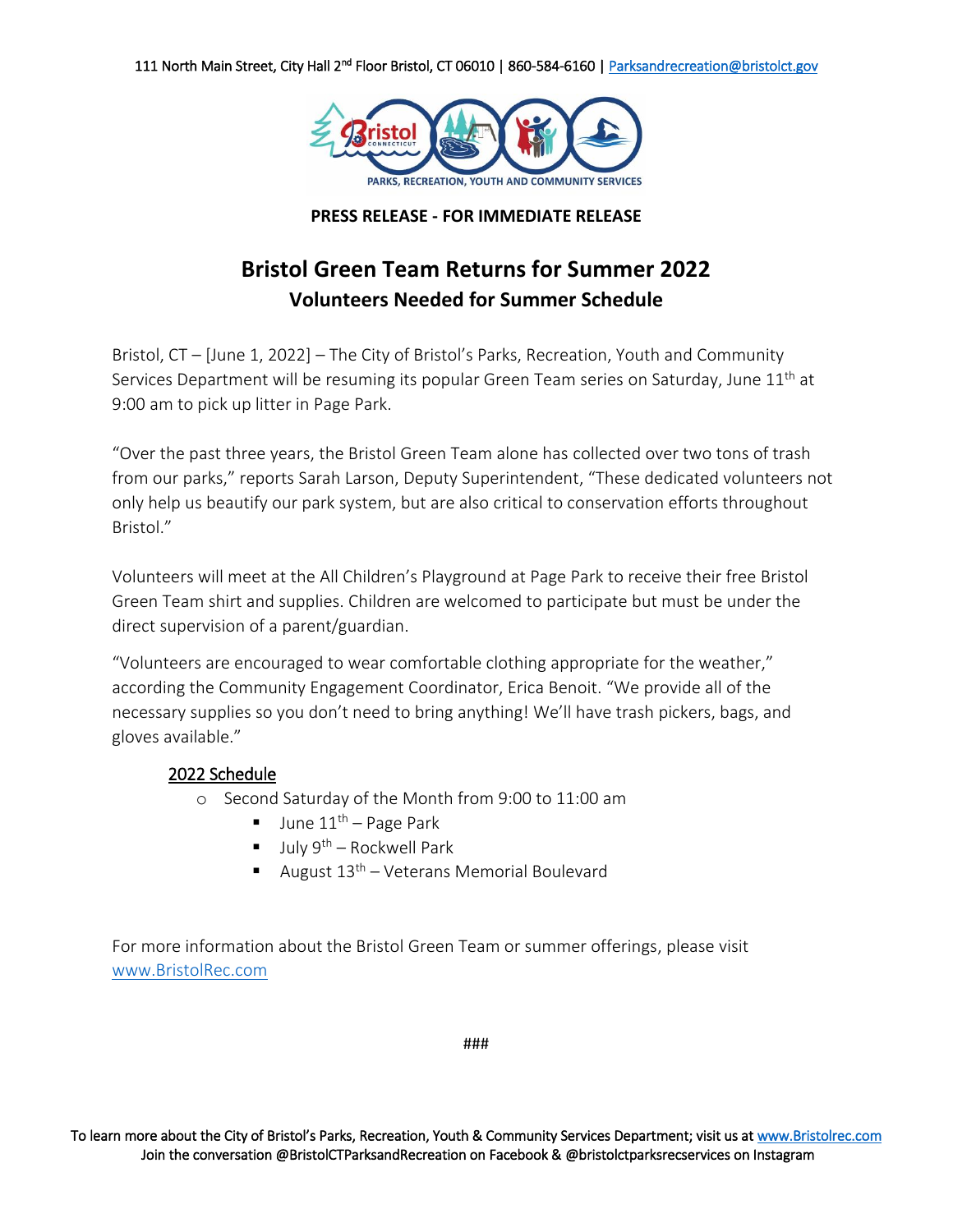

## **PRESS RELEASE - FOR IMMEDIATE RELEASE**

# **Bristol Green Team Returns for Summer 2022 Volunteers Needed for Summer Schedule**

Bristol, CT – [June 1, 2022] – The City of Bristol's Parks, Recreation, Youth and Community Services Department will be resuming its popular Green Team series on Saturday, June 11<sup>th</sup> at 9:00 am to pick up litter in Page Park.

"Over the past three years, the Bristol Green Team alone has collected over two tons of trash from our parks," reports Sarah Larson, Deputy Superintendent, "These dedicated volunteers not only help us beautify our park system, but are also critical to conservation efforts throughout Bristol."

Volunteers will meet at the All Children's Playground at Page Park to receive their free Bristol Green Team shirt and supplies. Children are welcomed to participate but must be under the direct supervision of a parent/guardian.

"Volunteers are encouraged to wear comfortable clothing appropriate for the weather," according the Community Engagement Coordinator, Erica Benoit. "We provide all of the necessary supplies so you don't need to bring anything! We'll have trash pickers, bags, and gloves available."

## 2022 Schedule

- o Second Saturday of the Month from 9:00 to 11:00 am
	- $\blacksquare$  June  $11^{\text{th}}$  Page Park
	- $\blacksquare$  July 9<sup>th</sup> Rockwell Park
	- August  $13<sup>th</sup>$  Veterans Memorial Boulevard

For more information about the Bristol Green Team or summer offerings, please visit [www.BristolRec.com](http://www.bristolrec.com/)

###

To learn more about the City of Bristol's Parks, Recreation, Youth & Community Services Department; visit us at www.Bristolrec.com Join the conversation @BristolCTParksandRecreation on Facebook & @bristolctparksrecservices on Instagram